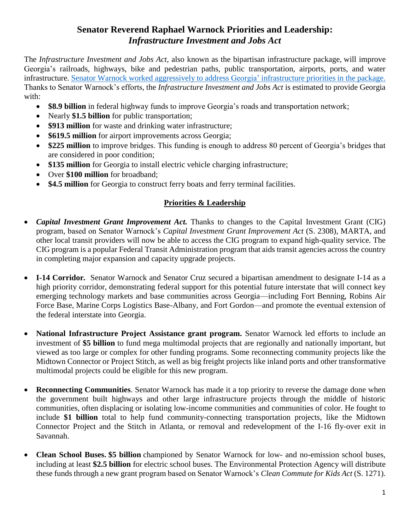## **Senator Reverend Raphael Warnock Priorities and Leadership:** *Infrastructure Investment and Jobs Act*

The *Infrastructure Investment and Jobs Act,* also known as the bipartisan infrastructure package, will improve Georgia's railroads, highways, bike and pedestrian paths, public transportation, airports, ports, and water infrastructure. [Senator Warnock worked aggressively to address Georgia' infrastructure](https://www.warnock.senate.gov/newsroom/press-releases/senator-reverend-warnock-secures-major-investments-provisions-for-georgia-in-landmark-jobs-and-infrastructure-bill-bipartisan-bill-passes-senate/) priorities in the package. Thanks to Senator Warnock's efforts, the *Infrastructure Investment and Jobs Act* is estimated to provide Georgia with:

- **\$8.9 billion** in federal highway funds to improve Georgia's roads and transportation network;
- Nearly \$1.5 billion for public transportation;
- **\$913 million** for waste and drinking water infrastructure;
- **\$619.5 million** for airport improvements across Georgia;
- **\$225 million** to improve bridges. This funding is enough to address 80 percent of Georgia's bridges that are considered in poor condition;
- **\$135 million** for Georgia to install electric vehicle charging infrastructure;
- Over **\$100 million** for broadband;
- **\$4.5 million** for Georgia to construct ferry boats and ferry terminal facilities.

## **Priorities & Leadership**

- *Capital Investment Grant Improvement Act.* Thanks to changes to the Capital Investment Grant (CIG) program, based on Senator Warnock's *Capital Investment Grant Improvement Act* (S. 2308), MARTA, and other local transit providers will now be able to access the CIG program to expand high-quality service. The CIG program is a popular Federal Transit Administration program that aids transit agencies across the country in completing major expansion and capacity upgrade projects.
- **I-14 Corridor***.* Senator Warnock and Senator Cruz secured a bipartisan amendment to designate I-14 as a high priority corridor, demonstrating federal support for this potential future interstate that will connect key emerging technology markets and base communities across Georgia—including Fort Benning, Robins Air Force Base, Marine Corps Logistics Base-Albany, and Fort Gordon—and promote the eventual extension of the federal interstate into Georgia.
- **National Infrastructure Project Assistance grant program.** Senator Warnock led efforts to include an investment of **\$5 billion** to fund mega multimodal projects that are regionally and nationally important, but viewed as too large or complex for other funding programs. Some reconnecting community projects like the Midtown Connector or Project Stitch, as well as big freight projects like inland ports and other transformative multimodal projects could be eligible for this new program.
- **Reconnecting Communities**. Senator Warnock has made it a top priority to reverse the damage done when the government built highways and other large infrastructure projects through the middle of historic communities, often displacing or isolating low-income communities and communities of color. He fought to include **\$1 billion** total to help fund community-connecting transportation projects, like the Midtown Connector Project and the Stitch in Atlanta, or removal and redevelopment of the I-16 fly-over exit in Savannah.
- **Clean School Buses. \$5 billion** championed by Senator Warnock for low- and no-emission school buses, including at least **\$2.5 billion** for electric school buses. The Environmental Protection Agency will distribute these funds through a new grant program based on Senator Warnock's *[Clean Commute for Kids Act](https://finance.yahoo.com/news/u-senator-raphael-warnock-tours-123000006.html?guccounter=1&guce_referrer=aHR0cDovL3d3dy53YXJub2NrLnNlbmF0ZS5nb3Yv&guce_referrer_sig=AQAAAGRba_nYOQbEN7NIXoUT98cZuP-StE6tRwH7-_c8Vusok_rCmzaHd6zlTVGNtDHF9uy04hQimp0PcM91oLlElMRaoLsrXSwRS_M_zKjiQiwqzvVsgoCSL5FXZA8BE9AVGWrnTeJr6uvQxJQ4y3RqyaR9MVoAYRs99cDIjiri_7Ri)* (S. 1271).